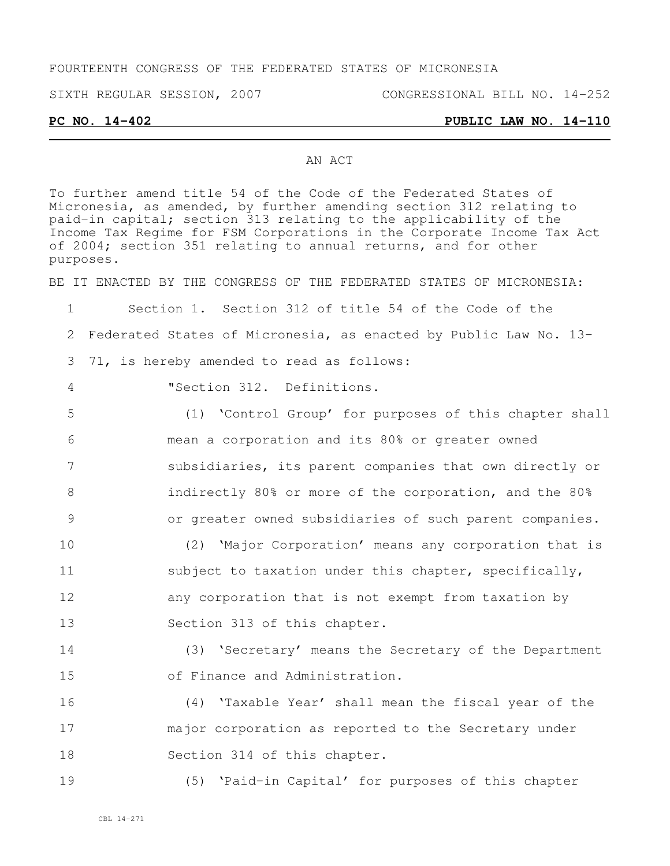## FOURTEENTH CONGRESS OF THE FEDERATED STATES OF MICRONESIA

SIXTH REGULAR SESSION, 2007 CONGRESSIONAL BILL NO. 14-252

**PC NO. 14-402 PUBLIC LAW NO. 14-110**

#### AN ACT

To further amend title 54 of the Code of the Federated States of Micronesia, as amended, by further amending section 312 relating to paid-in capital; section 313 relating to the applicability of the Income Tax Regime for FSM Corporations in the Corporate Income Tax Act of 2004; section 351 relating to annual returns, and for other purposes.

BE IT ENACTED BY THE CONGRESS OF THE FEDERATED STATES OF MICRONESIA:

1 Section 1. Section 312 of title 54 of the Code of the 2 Federated States of Micronesia, as enacted by Public Law No. 13- 3 71, is hereby amended to read as follows:

4 "Section 312. Definitions.

 (1) 'Control Group' for purposes of this chapter shall mean a corporation and its 80% or greater owned subsidiaries, its parent companies that own directly or indirectly 80% or more of the corporation, and the 80% or greater owned subsidiaries of such parent companies. (2) 'Major Corporation' means any corporation that is

11 subject to taxation under this chapter, specifically, 12 any corporation that is not exempt from taxation by 13 Section 313 of this chapter.

14 (3) 'Secretary' means the Secretary of the Department 15 of Finance and Administration.

16 (4) 'Taxable Year' shall mean the fiscal year of the 17 major corporation as reported to the Secretary under 18 Section 314 of this chapter.

19 (5) 'Paid-in Capital' for purposes of this chapter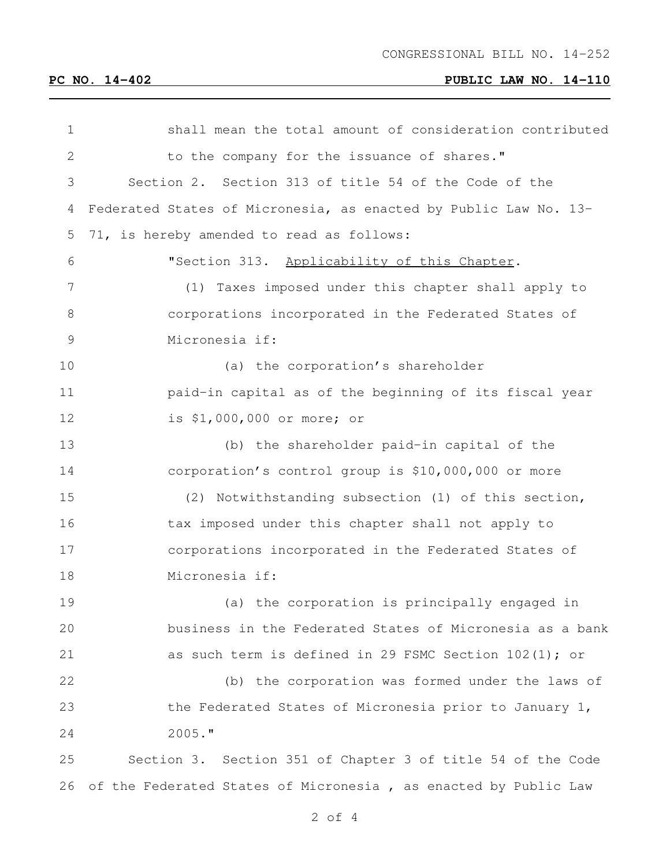# **PC NO. 14-402 PUBLIC LAW NO. 14-110**

| $\mathbf 1$   | shall mean the total amount of consideration contributed         |
|---------------|------------------------------------------------------------------|
| 2             | to the company for the issuance of shares."                      |
| 3             | Section 2. Section 313 of title 54 of the Code of the            |
| 4             | Federated States of Micronesia, as enacted by Public Law No. 13- |
| 5             | 71, is hereby amended to read as follows:                        |
| 6             | "Section 313. Applicability of this Chapter.                     |
| 7             | Taxes imposed under this chapter shall apply to<br>(1)           |
| 8             | corporations incorporated in the Federated States of             |
| $\mathcal{G}$ | Micronesia if:                                                   |
| 10            | (a) the corporation's shareholder                                |
| 11            | paid-in capital as of the beginning of its fiscal year           |
| 12            | is \$1,000,000 or more; or                                       |
| 13            | (b) the shareholder paid-in capital of the                       |
| 14            | corporation's control group is \$10,000,000 or more              |
| 15            | (2) Notwithstanding subsection (1) of this section,              |
| 16            | tax imposed under this chapter shall not apply to                |
| 17            | corporations incorporated in the Federated States of             |
| 18            | Micronesia if:                                                   |
| 19            | (a) the corporation is principally engaged in                    |
| 20            | business in the Federated States of Micronesia as a bank         |
| 21            | as such term is defined in 29 FSMC Section $102(1)$ ; or         |
| 22            | (b) the corporation was formed under the laws of                 |
| 23            | the Federated States of Micronesia prior to January 1,           |
| 24            | $2005.$ "                                                        |
| 25            | Section 3. Section 351 of Chapter 3 of title 54 of the Code      |
| 26            | of the Federated States of Micronesia, as enacted by Public Law  |

of 4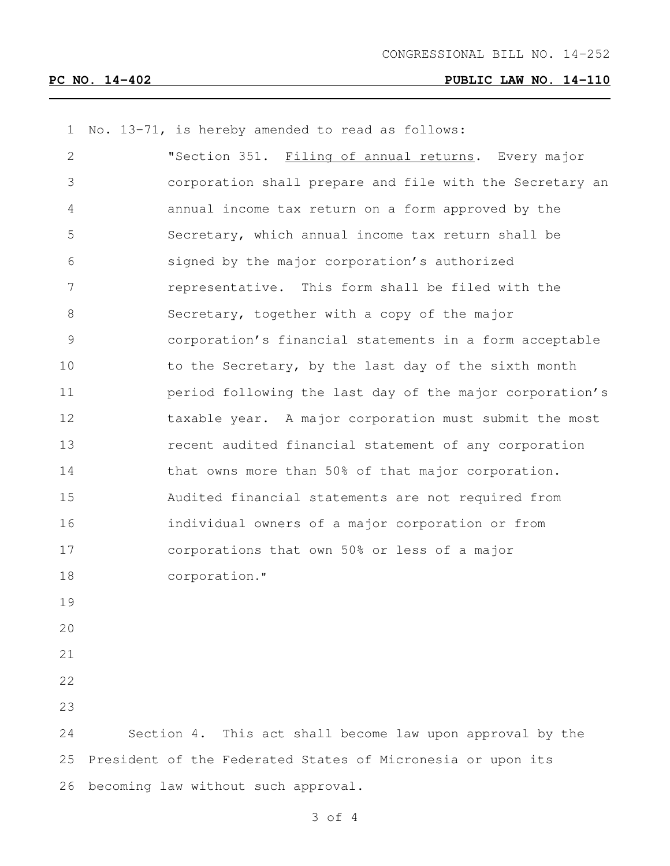### **PC NO. 14-402 PUBLIC LAW NO. 14-110**

No. 13-71, is hereby amended to read as follows:

 "Section 351. Filing of annual returns**.** Every major corporation shall prepare and file with the Secretary an annual income tax return on a form approved by the Secretary, which annual income tax return shall be signed by the major corporation's authorized representative. This form shall be filed with the Secretary, together with a copy of the major corporation's financial statements in a form acceptable 10 to the Secretary, by the last day of the sixth month period following the last day of the major corporation's 12 taxable year. A major corporation must submit the most recent audited financial statement of any corporation that owns more than 50% of that major corporation. Audited financial statements are not required from individual owners of a major corporation or from corporations that own 50% or less of a major corporation." Section 4. This act shall become law upon approval by the President of the Federated States of Micronesia or upon its

of 4

becoming law without such approval.